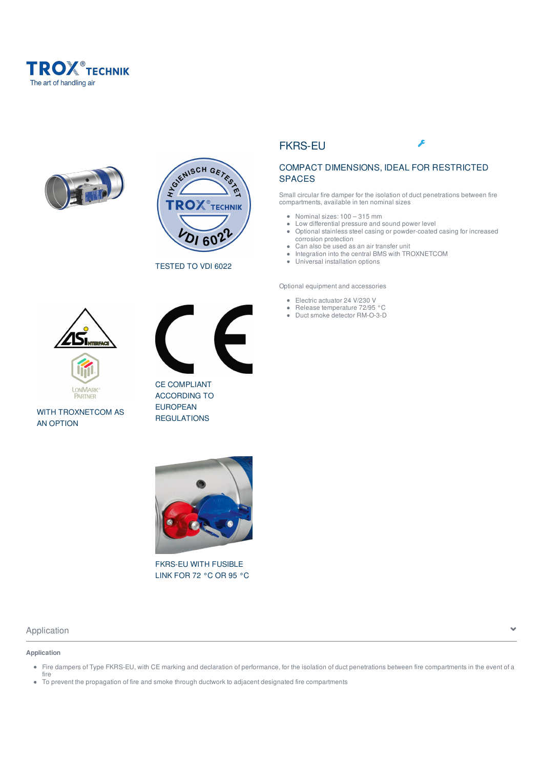





TESTED TO VDI 6022



WITH TROXNETCOM AS AN OPTION



CE COMPLIANT ACCORDING TO EUROPEAN REGULATIONS

# FKRS-EU



# COMPACT DIMENSIONS, IDEAL FOR RESTRICTED SPACES

Small circular fire damper for the isolation of duct penetrations between fire compartments, available in ten nominal sizes

- Nominal sizes: 100 315 mm
- Low differential pressure and sound power level  $\bullet$ Optional stainless steel casing or powder-coated casing for increased corrosion protection
- $\bullet$ Can also be used as an air transfer unit
- Integration into the central BMS with TROXNETCOM  $\bullet$
- Universal installation options

Optional equipment and accessories

- Electric actuator 24 V/230 V
- Release temperature 72/95 °C
- Duct smoke detector RM-O-3-D



FKRS-EU WITH FUSIBLE LINK FOR 72 °C OR 95 °C

# Application  $\overline{\phantom{a}}$

### **Application**

- Fire dampers of Type FKRS-EU, with CE marking and declaration of performance, for the isolation of duct penetrations between fire compartments in the event of a fire
- To prevent the propagation of fire and smoke through ductwork to adjacent designated fire compartments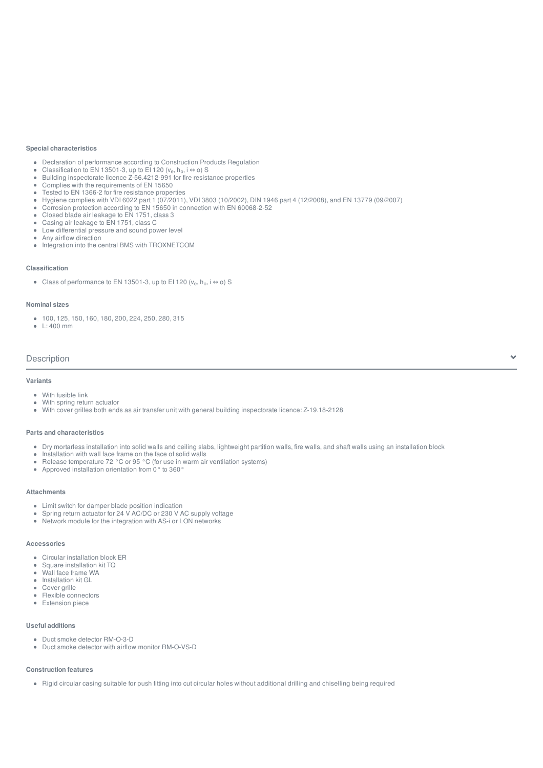### **Special characteristics**

- Declaration of performance according to Construction Products Regulation
- Classification to EN 13501-3, up to EI 120 ( $v_{e}$ ,  $h_{o}$ , i  $\leftrightarrow$  o) S
- Classification to EIN 13501-3, up to EI 120 (v<sub>e</sub>, n<sub>o</sub>, i ↔ 0) S<br>Building inspectorate licence Z-56.4212-991 for fire resistance properties
- Complies with the requirements of EN 15650  $\bullet$
- Tested to EN 1366-2 for fire resistance properties  $\bullet$
- Hygiene complies with VDI 6022 part 1 (07/2011), VDI 3803 (10/2002), DIN 1946 part 4 (12/2008), and EN 13779 (09/2007)  $\bullet$
- Corrosion protection according to EN 15650 in connection with EN 60068-2-52  $\bullet$
- Closed blade air leakage to EN 1751, class 3
- Casing air leakage to EN 1751, class C Low differential pressure and sound power level
- Any airflow direction
- Integration into the central BMS with TROXNETCOM

#### **Classification**

Class of performance to EN 13501-3, up to EI 120  $(v_e, h_o, i \leftrightarrow o)$  S

### **Nominal sizes**

- 100, 125, 150, 160, 180, 200, 224, 250, 280, 315
- $\cdot$  1  $\cdot$  400 mm

### Description

### **Variants**

- With fusible link
- With spring return actuator
- With cover grilles both ends as air transfer unit with general building inspectorate licence: Z-19.18-2128

### **Parts and characteristics**

Dry mortarless installation into solid walls and ceiling slabs, lightweight partition walls, fire walls, and shaft walls using an installation block

 $\checkmark$ 

- Installation with wall face frame on the face of solid walls
- Release temperature 72 °C or 95 °C (for use in warm air ventilation systems)
- Approved installation orientation from 0° to 360°

#### **Attachments**

- Limit switch for damper blade position indication
- Spring return actuator for 24 V AC/DC or 230 V AC supply voltage
- Network module for the integration with AS-i or LON networks

### **Accessories**

- Circular installation block ER  $\bullet$
- $\bullet$ Square installation kit TQ
- Wall face frame WA
- $\Delta$ Installation kit GL
- Cover grille
- Flexible connectors
- **•** Extension piece

### **Useful additions**

- Duct smoke detector RM-O-3-D
- Duct smoke detector with airflow monitor RM-O-VS-D

#### **Construction features**

Rigid circular casing suitable for push fitting into cut circular holes without additional drilling and chiselling being required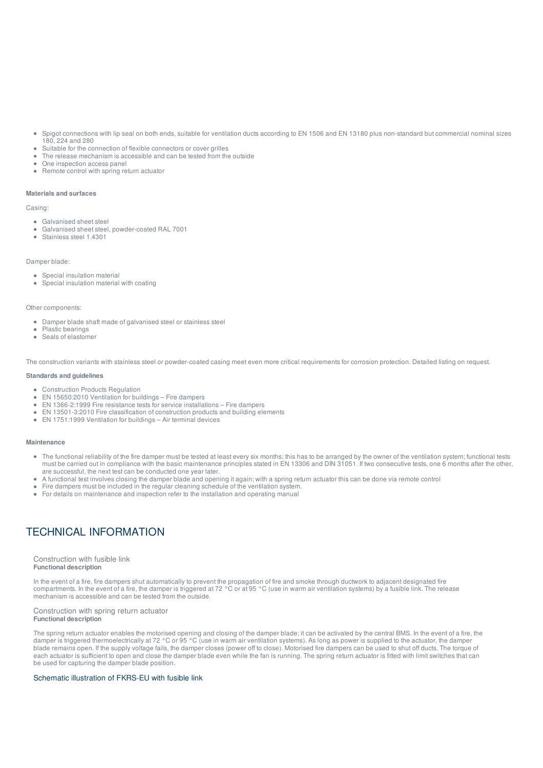- $\bullet$ Spigot connections with lip seal on both ends, suitable for ventilation ducts according to EN 1506 and EN 13180 plus non-standard but commercial nominal sizes 180, 224 and 280
- Suitable for the connection of flexible connectors or cover grilles
- The release mechanism is accessible and can be tested from the outside
- One inspection access panel
- Remote control with spring return actuator

### **Materials and surfaces**

Casing:

- Galvanised sheet steel
- Galvanised sheet steel, powder-coated RAL 7001
- Stainless steel 1.4301

### Damper blade:

- Special insulation material
- Special insulation material with coating

#### Other components:

- Damper blade shaft made of galvanised steel or stainless steel
- Plastic bearings
- Seals of elastomer

The construction variants with stainless steel or powder-coated casing meet even more critical requirements for corrosion protection. Detailed listing on request.

#### **Standards and guidelines**

- Construction Products Regulation
- EN 15650:2010 Ventilation for buildings Fire dampers
- ■EN 1366-2:1999 Fire resistance tests for service installations Fire dampers
- EN 13501-3:2010 Fire classification of construction products and building elements
- EN 1751:1999 Ventilation for buildings Air terminal devices

### **Maintenance**

- The functional reliability of the fire damper must be tested at least every six months; this has to be arranged by the owner of the ventilation system; functional tests must be carried out in compliance with the basic maintenance principles stated in EN 13306 and DIN 31051. If two consecutive tests, one 6 months after the other, are successful, the next test can be conducted one year later.
- A functional test involves closing the damper blade and opening it again; with a spring return actuator this can be done via remote control
- Fire dampers must be included in the regular cleaning schedule of the ventilation system.
- For details on maintenance and inspection refer to the installation and operating manual

# TECHNICAL INFORMATION

#### Construction with fusible link **Functional description**

In the event of a fire, fire dampers shut automatically to prevent the propagation of fire and smoke through ductwork to adjacent designated fire compartments. In the event of a fire, the damper is triggered at 72 °C or at 95 °C (use in warm air ventilation systems) by a fusible link. The release mechanism is accessible and can be tested from the outside.

#### Construction with spring return actuator **Functional description**

The spring return actuator enables the motorised opening and closing of the damper blade; it can be activated by the central BMS. In the event of a fire, the damper is triggered thermoelectrically at 72 °C or 95 °C (use in warm air ventilation systems). As long as power is supplied to the actuator, the damper blade remains open. If the supply voltage fails, the damper closes (power off to close). Motorised fire dampers can be used to shut off ducts. The torque of each actuator is sufficient to open and close the damper blade even while the fan is running. The spring return actuator is fitted with limit switches that can be used for capturing the damper blade position.

### Schematic illustration of FKRS-EU with fusible link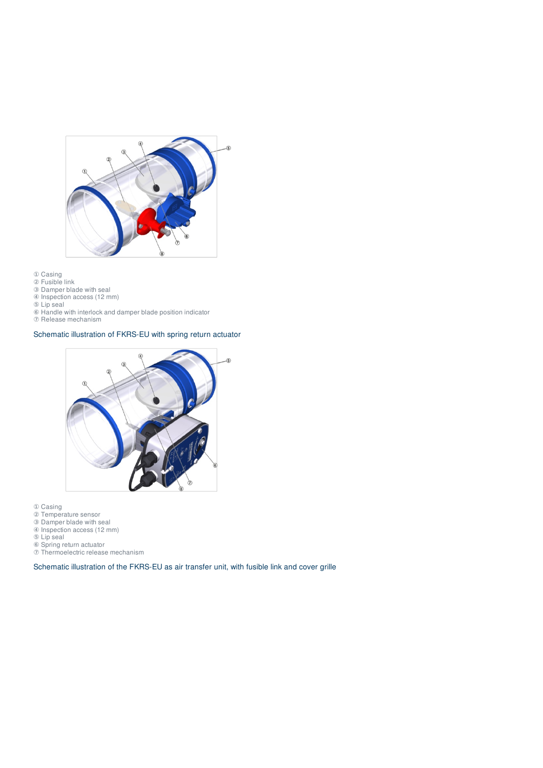

- Casing
- Fusible link
- Damper blade with seal Inspection access (12 mm)
- Lip seal
- Handle with interlock and damper blade position indicator
- Release mechanism

# Schematic illustration of FKRS-EU with spring return actuator



- Casing
- Temperature sensor
- Damper blade with seal
- Inspection access (12 mm)
- Lip seal
- Spring return actuator
- Thermoelectric release mechanism

Schematic illustration of the FKRS-EU as air transfer unit, with fusible link and cover grille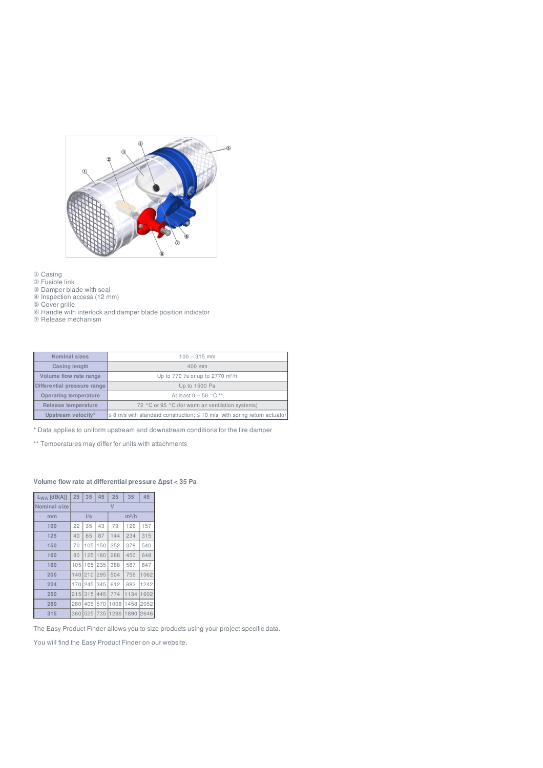

- ① Casing
- ② Fusible link
- ③ Damper blade with seal
- ④ Inspection access (12 mm)
- ⑤ Cover grille
- ⑥ Handle with interlock and damper blade position indicator
- ⑦ Release mechanism

| Nominal sizes               | $100 - 315$ mm                                                                     |
|-----------------------------|------------------------------------------------------------------------------------|
| Casing length               | $400$ mm                                                                           |
| Volume flow rate range      | Up to 770 l/s or up to 2770 m <sup>3</sup> /h                                      |
| Differential pressure range | Up to 1500 Pa                                                                      |
| Operating temperature       | At least $0 - 50$ °C <sup>**</sup>                                                 |
| Release temperature         | 72 °C or 95 °C (for warm air ventilation systems)                                  |
| Upstream velocity*          | $\leq$ 8 m/s with standard construction; $\leq$ 10 m/s with spring return actuator |

\* Data applies to uniform upstream and downstream conditions for the fire damper

\*\* Temperatures may differ for units with attachments

### **Volume flow rate at differential pressure Δpst < 35 Pa**

| $L_{WA}$ [dB(A)]    | 25  | 35      | 45  | 25      | 35   | 45   |  |
|---------------------|-----|---------|-----|---------|------|------|--|
| <b>Nominal size</b> |     |         |     |         |      |      |  |
| mm                  | I/s |         |     | $m^3/h$ |      |      |  |
| 100                 | 22  | 35      | 43  | 79      | 126  | 157  |  |
| 125                 | 40  | 65      | 87  | 144     | 234  | 315  |  |
| 150                 | 70  | 105     | 150 | 252     | 378  | 540  |  |
| 160                 | 80  | 125     | 180 | 288     | 450  | 648  |  |
| 180                 | 105 | 65<br>1 | 235 | 388     | 587  | 847  |  |
| 200                 | 140 | 210     | 295 | 504     | 756  | 1062 |  |
| 224                 | 170 | 245     | 345 | 612     | 882  | 1242 |  |
| 250                 | 215 | 315     | 445 | 774     | 1134 | 1602 |  |
| 280                 | 280 | 405     | 570 | 1008    | 1458 | 2052 |  |
| 315                 | 360 | 525     | 735 | 1296    | 1890 | 2646 |  |

The Easy Product Finder allows you to size products using your project-specific data.

You will find the Easy Product Finder on our website.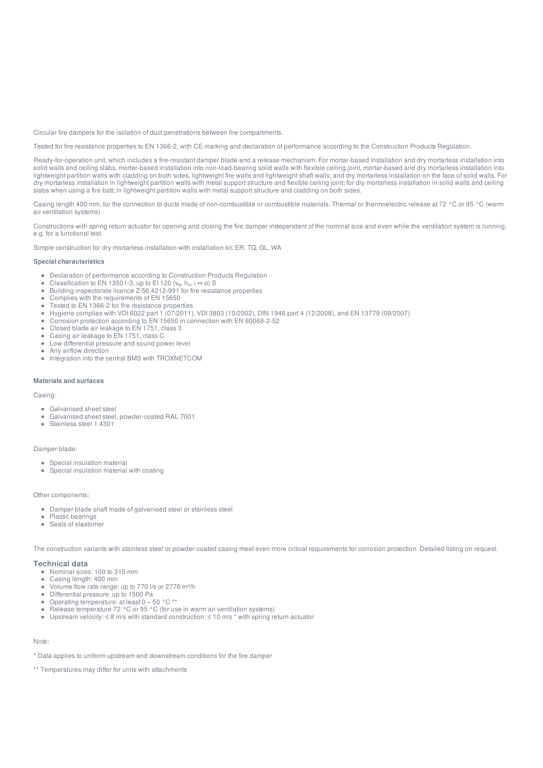Circular fire dampers for the isolation of duct penetrations between fire compartments.

Tested for fire resistance properties to EN 1366-2, with CE marking and declaration of performance according to the Construction Products Regulation.

Ready-for-operation unit, which includes a fire-resistant damper blade and a release mechanism. For mortar-based installation and dry mortarless installation into solid walls and ceiling slabs, mortar-based installation into non-load-bearing solid walls with flexible ceiling joint, mortar-based and dry mortarless installation into lightweight partition walls with cladding on both sides, lightweight fire walls and lightweight shaft walls, and dry mortarless installation on the face of solid walls. For dry mortarless installation in lightweight partition walls with metal support structure and flexible ceiling joint; for dry mortarless installation in solid walls and ceiling slabs when using a fire batt; in lightweight partition walls with metal support structure and cladding on both sides.

Casing length 400 mm, for the connection to ducts made of non-combustible or combustible materials. Thermal or thermoelectric release at 72 °C or 95 °C (warm air ventilation systems).

Constructions with spring return actuator for opening and closing the fire damper independent of the nominal size and even while the ventilation system is running, e.g. for a functional test.

Simple construction for dry mortarless installation with installation kit: ER, TQ, GL, WA

### **Special characteristics**

- Declaration of performance according to Construction Products Regulation
- $\bullet$ Classification to EN 13501-3, up to EI 120  $(v_e, h_o, i \leftrightarrow o)$  S
- Grassification to EN 13501-3, up to ET 120 (v<sub>e</sub>, n<sub>o</sub>, i ↔ 0) 5<br>Building inspectorate licence Z-56.4212-991 for fire resistance properties  $\alpha$
- $\bullet$ Complies with the requirements of EN 15650
- $\bullet$ Tested to EN 1366-2 for fire resistance properties
- Hygiene complies with VDI 6022 part 1 (07/2011), VDI 3803 (10/2002), DIN 1946 part 4 (12/2008), and EN 13779 (09/2007)  $\bullet$
- Corrosion protection according to EN 15650 in connection with EN 60068-2-52  $\bullet$
- Closed blade air leakage to EN 1751, class 3
- Casing air leakage to EN 1751, class C
- $\bullet$ Low differential pressure and sound power level
- Any airflow direction
- Integration into the central BMS with TROXNETCOM

### **Materials and surfaces**

### Casing:

- Galvanised sheet steel
- Galvanised sheet steel, powder-coated RAL 7001
- Stainless steel 1.4301  $\bullet$

### Damper blade:

- Special insulation material
- Special insulation material with coating

#### Other components:

- Damper blade shaft made of galvanised steel or stainless steel
- Plastic bearings
- Seals of elastomer

The construction variants with stainless steel or powder-coated casing meet even more critical requirements for corrosion protection. Detailed listing on request.

### **Technical data**

- Nominal sizes: 100 to 315 mm
- Casing length: 400 mm  $\bullet$
- $\bullet$ Volume flow rate range: up to 770 l/s or 2770 m³/h
- $\bullet$ Differential pressure: up to 1500 Pa
- Operating temperature: at least  $0 50$  °C \*\*
- Release temperature 72 °C or 95 °C (for use in warm air ventilation systems)
- Upstream velocity:  $\leq 8$  m/s with standard construction:  $\leq 10$  m/s \* with spring return actuator

### Note:

\* Data applies to uniform upstream and downstream conditions for the fire damper

\*\* Temperatures may differ for units with attachments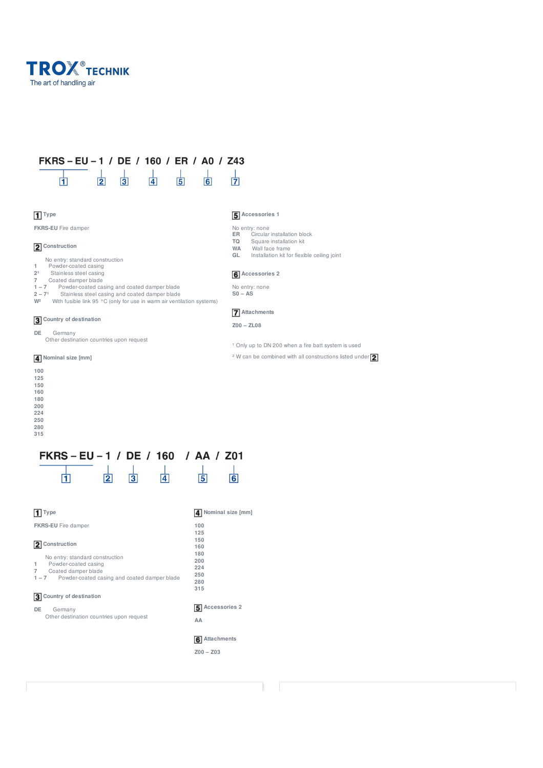

#### FKRS-EU-1 / DE / 160 / ER / A0 / Z43  $\frac{1}{3}$  $\frac{1}{4}$  $\frac{1}{5}$  $\frac{1}{2}$  $\frac{1}{6}$  $\overline{1}$

# **Type**

**FKRS-EU** Fire damper

# **2** Construction

- No entry: standard construction **1** Powder-coated casing
- 2<sup>1</sup> Stainless steel casing
- 
- 
- **7** Coated damper blade<br>**1 7** Powder-coated casing and coated damper blade<br>**2 7<sup>1</sup> Stainless steel casing and coated damper blade**
- W<sup>2</sup> With fusible link 95 °C (only for use in warm air ventilation systems)

# **Country of destination**

- **DE** Germany
	- Other destination countries upon request

### **Nominal size [mm]**

- **100**
- **125**
- **150 160**
- 
- **180**
- **200 224**
- **250**
- **280**
- **315**

#### FKRS-EU-1 / DE / 160 / AA / 201 由  $\overline{2}$  $\overline{3}$  $\overline{5}$  $\overline{6}$  $\overline{\mathbf{4}}$

| Type                                                                                | 4 Nominal size [mm]  |  |  |
|-------------------------------------------------------------------------------------|----------------------|--|--|
| <b>FKRS-EU</b> Fire damper                                                          | 100                  |  |  |
| Construction                                                                        | 125<br>150           |  |  |
| No entry: standard construction                                                     | 160<br>180           |  |  |
| Powder-coated casing<br>1                                                           | 200<br>224           |  |  |
| Coated damper blade<br>7<br>Powder-coated casing and coated damper blade<br>$1 - 7$ | 250<br>280<br>315    |  |  |
| Country of destination<br>13                                                        |                      |  |  |
| DE<br>Germany                                                                       | <b>Accessories 2</b> |  |  |
| Other destination countries upon request                                            | AA                   |  |  |
|                                                                                     | Attachments          |  |  |

**Z00 – Z03**

### **Accessories 1**

卤

- No entry: none<br> **ER** Circular **ER** Circular installation block<br> **TQ** Square installation kit
- **TQ** Square installation kit
- **WA** Wall face frame<br> **GL** Installation kit fo Installation kit for flexible ceiling joint

# **Accessories 2**

- 
- No entry: none **S0 – AS**

# **Attachments**

- **Z00 – ZL08**
- <sup>1</sup> Only up to DN 200 when a fire batt system is used
- <sup>2</sup> W can be combined with all constructions listed under **2**